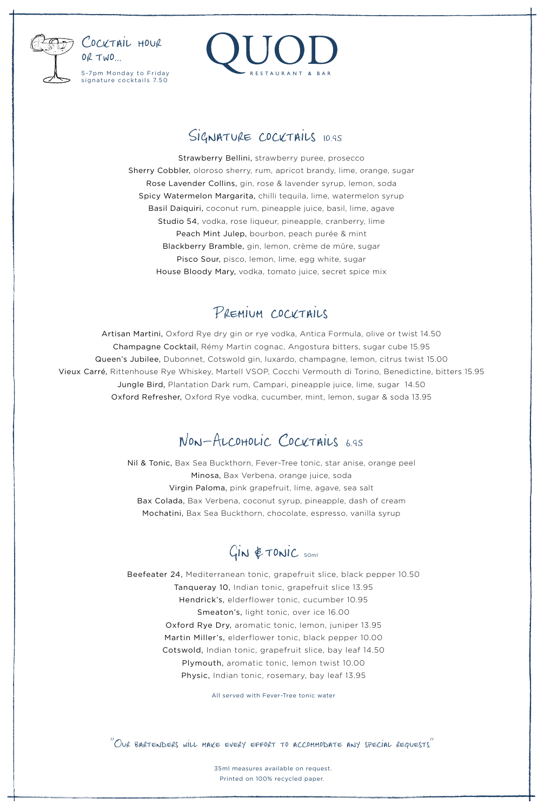

# RESTAURANT & BAR

## SIGNATURE COCKTAILS 10.95

Strawberry Bellini, strawberry puree, prosecco Sherry Cobbler, oloroso sherry, rum, apricot brandy, lime, orange, sugar Rose Lavender Collins, gin, rose & lavender syrup, lemon, soda Spicy Watermelon Margarita, chilli tequila, lime, watermelon syrup Basil Daiquiri, coconut rum, pineapple juice, basil, lime, agave Studio 54, vodka, rose liqueur, pineapple, cranberry, lime Peach Mint Julep, bourbon, peach purée & mint Blackberry Bramble, gin, lemon, crème de mûre, sugar Pisco Sour, pisco, lemon, lime, egg white, sugar House Bloody Mary, vodka, tomato juice, secret spice mix

# Premium cocktails

Artisan Martini, Oxford Rye dry gin or rye vodka, Antica Formula, olive or twist 14.50 Champagne Cocktail, Rémy Martin cognac, Angostura bitters, sugar cube 15.95 Queen's Jubilee, Dubonnet, Cotswold gin, luxardo, champagne, lemon, citrus twist 15.00 Vieux Carré, Rittenhouse Rye Whiskey, Martell VSOP, Cocchi Vermouth di Torino, Benedictine, bitters 15.95 Jungle Bird, Plantation Dark rum, Campari, pineapple juice, lime, sugar 14.50 Oxford Refresher, Oxford Rye vodka, cucumber, mint, lemon, sugar & soda 13.95

## Non-Alcoholic Cocktails 6.95

Nil & Tonic, Bax Sea Buckthorn, Fever-Tree tonic, star anise, orange peel Minosa, Bax Verbena, orange juice, soda Virgin Paloma, pink grapefruit, lime, agave, sea salt Bax Colada, Bax Verbena, coconut syrup, pineapple, dash of cream Mochatini, Bax Sea Buckthorn, chocolate, espresso, vanilla syrup

# $G$ IN  $#$ TONIC 50ml

Beefeater 24, Mediterranean tonic, grapefruit slice, black pepper 10.50 Tanqueray 10, Indian tonic, grapefruit slice 13.95 Hendrick's, elderflower tonic, cucumber 10.95 Smeaton's, light tonic, over ice 16.00 Oxford Rye Dry, aromatic tonic, lemon, juniper 13.95 Martin Miller's, elderflower tonic, black pepper 10.00 Cotswold, Indian tonic, grapefruit slice, bay leaf 14.50 Plymouth, aromatic tonic, lemon twist 10.00 Physic, Indian tonic, rosemary, bay leaf 13.95

All served with Fever-Tree tonic water

' 'Our bartenders will make every effort to accommodate any special requests' '

35ml measures available on request. Printed on 100% recycled paper.